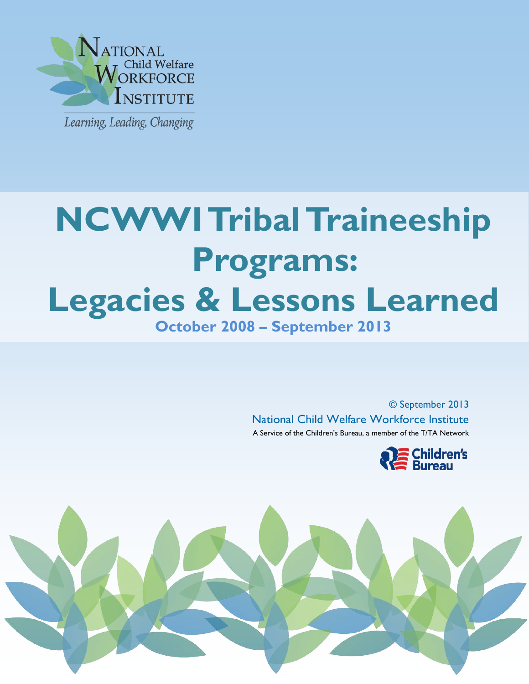

j

# ֧֪֚֞֝֝֝֝<br>֧֪֪֝֩֩֕֝֓֝֝֝ I **NCWWI TribalTraineeship Programs: Legacies & Lessons Learned October 2008 – September 2013**

© September 2013 National Child Welfare Workforce Institute A Service of the Children's Bureau, a member of the T/TA Network



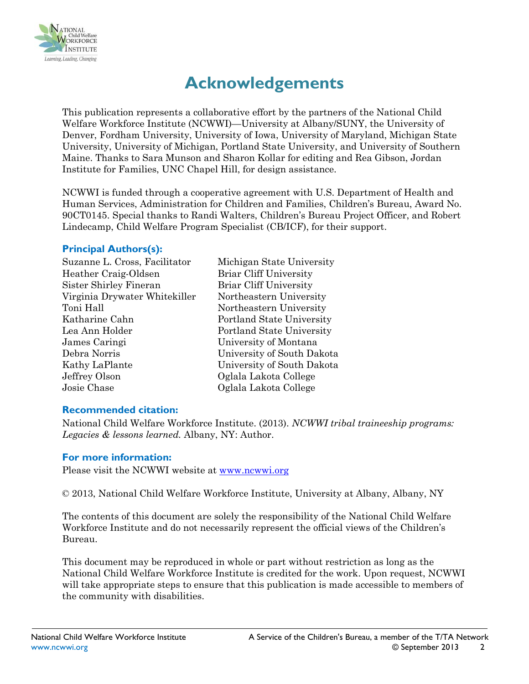

# **Acknowledgements**

This publication represents a collaborative effort by the partners of the National Child Welfare Workforce Institute (NCWWI)—University at Albany/SUNY, the University of Denver, Fordham University, University of Iowa, University of Maryland, Michigan State University, University of Michigan, Portland State University, and University of Southern Maine. Thanks to Sara Munson and Sharon Kollar for editing and Rea Gibson, Jordan Institute for Families, UNC Chapel Hill, for design assistance.

NCWWI is funded through a cooperative agreement with U.S. Department of Health and Human Services, Administration for Children and Families, Children's Bureau, Award No. 90CT0145. Special thanks to Randi Walters, Children's Bureau Project Officer, and Robert Lindecamp, Child Welfare Program Specialist (CB/ICF), for their support.

#### **Principal Authors(s):**

Michigan State University Briar Cliff University Briar Cliff University Northeastern University Northeastern University Portland State University Portland State University University of Montana University of South Dakota University of South Dakota Oglala Lakota College Oglala Lakota College

#### **Recommended citation:**

National Child Welfare Workforce Institute. (2013). *NCWWI tribal traineeship programs: Legacies & lessons learned.* Albany, NY: Author.

#### **For more information:**

Please visit the NCWWI website at [www.ncwwi.org](http://www.ncwwi.org/)

© 2013, National Child Welfare Workforce Institute, University at Albany, Albany, NY

The contents of this document are solely the responsibility of the National Child Welfare Workforce Institute and do not necessarily represent the official views of the Children's Bureau.

This document may be reproduced in whole or part without restriction as long as the National Child Welfare Workforce Institute is credited for the work. Upon request, NCWWI will take appropriate steps to ensure that this publication is made accessible to members of the community with disabilities.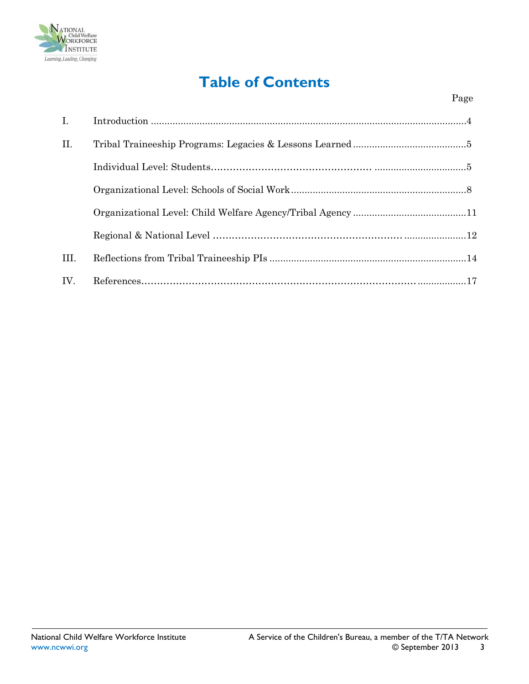

# **Table of Contents**

| $\mathbf{I}$ . |  |
|----------------|--|
| II.            |  |
|                |  |
|                |  |
|                |  |
|                |  |
| III.           |  |
| IV.            |  |
|                |  |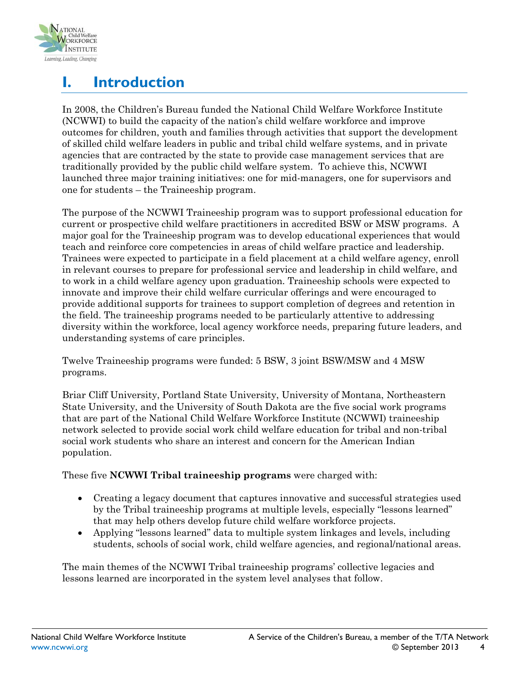

# **I. Introduction**

In 2008, the Children's Bureau funded the National Child Welfare Workforce Institute (NCWWI) to build the capacity of the nation's child welfare workforce and improve outcomes for children, youth and families through activities that support the development of skilled child welfare leaders in public and tribal child welfare systems, and in private agencies that are contracted by the state to provide case management services that are traditionally provided by the public child welfare system. To achieve this, NCWWI launched three major training initiatives: one for mid-managers, one for supervisors and one for students – the Traineeship program.

The purpose of the NCWWI Traineeship program was to support professional education for current or prospective child welfare practitioners in accredited BSW or MSW programs. A major goal for the Traineeship program was to develop educational experiences that would teach and reinforce core competencies in areas of child welfare practice and leadership. Trainees were expected to participate in a field placement at a child welfare agency, enroll in relevant courses to prepare for professional service and leadership in child welfare, and to work in a child welfare agency upon graduation. Traineeship schools were expected to innovate and improve their child welfare curricular offerings and were encouraged to provide additional supports for trainees to support completion of degrees and retention in the field. The traineeship programs needed to be particularly attentive to addressing diversity within the workforce, local agency workforce needs, preparing future leaders, and understanding systems of care principles.

Twelve Traineeship programs were funded: 5 BSW, 3 joint BSW/MSW and 4 MSW programs.

Briar Cliff University, Portland State University, University of Montana, Northeastern State University, and the University of South Dakota are the five social work programs that are part of the National Child Welfare Workforce Institute (NCWWI) traineeship network selected to provide social work child welfare education for tribal and non-tribal social work students who share an interest and concern for the American Indian population.

These five **NCWWI Tribal traineeship programs** were charged with:

- Creating a legacy document that captures innovative and successful strategies used by the Tribal traineeship programs at multiple levels, especially "lessons learned" that may help others develop future child welfare workforce projects.
- Applying "lessons learned" data to multiple system linkages and levels, including students, schools of social work, child welfare agencies, and regional/national areas.

The main themes of the NCWWI Tribal traineeship programs' collective legacies and lessons learned are incorporated in the system level analyses that follow.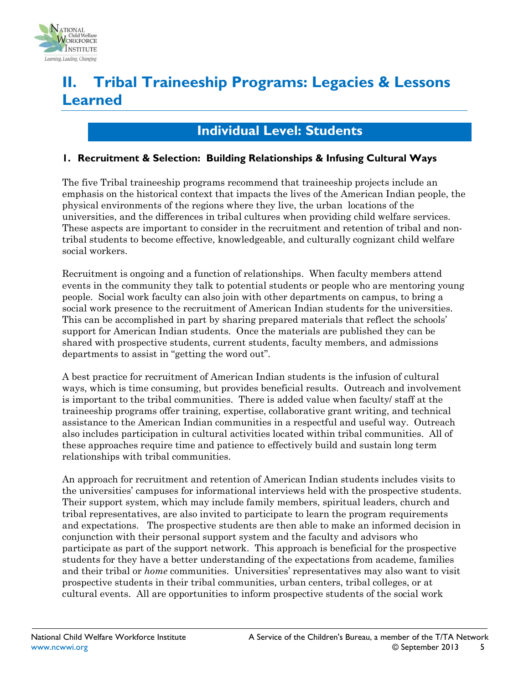

# **II. Tribal Traineeship Programs: Legacies & Lessons Learned**

## **Individual Level: Students**

#### **1. Recruitment & Selection: Building Relationships & Infusing Cultural Ways**

The five Tribal traineeship programs recommend that traineeship projects include an emphasis on the historical context that impacts the lives of the American Indian people, the physical environments of the regions where they live, the urban locations of the universities, and the differences in tribal cultures when providing child welfare services. These aspects are important to consider in the recruitment and retention of tribal and nontribal students to become effective, knowledgeable, and culturally cognizant child welfare social workers.

Recruitment is ongoing and a function of relationships. When faculty members attend events in the community they talk to potential students or people who are mentoring young people. Social work faculty can also join with other departments on campus, to bring a social work presence to the recruitment of American Indian students for the universities. This can be accomplished in part by sharing prepared materials that reflect the schools' support for American Indian students. Once the materials are published they can be shared with prospective students, current students, faculty members, and admissions departments to assist in "getting the word out".

A best practice for recruitment of American Indian students is the infusion of cultural ways, which is time consuming, but provides beneficial results. Outreach and involvement is important to the tribal communities. There is added value when faculty/ staff at the traineeship programs offer training, expertise, collaborative grant writing, and technical assistance to the American Indian communities in a respectful and useful way. Outreach also includes participation in cultural activities located within tribal communities. All of these approaches require time and patience to effectively build and sustain long term relationships with tribal communities.

An approach for recruitment and retention of American Indian students includes visits to the universities' campuses for informational interviews held with the prospective students. Their support system, which may include family members, spiritual leaders, church and tribal representatives, are also invited to participate to learn the program requirements and expectations. The prospective students are then able to make an informed decision in conjunction with their personal support system and the faculty and advisors who participate as part of the support network. This approach is beneficial for the prospective students for they have a better understanding of the expectations from academe, families and their tribal or *home* communities. Universities' representatives may also want to visit prospective students in their tribal communities, urban centers, tribal colleges, or at cultural events. All are opportunities to inform prospective students of the social work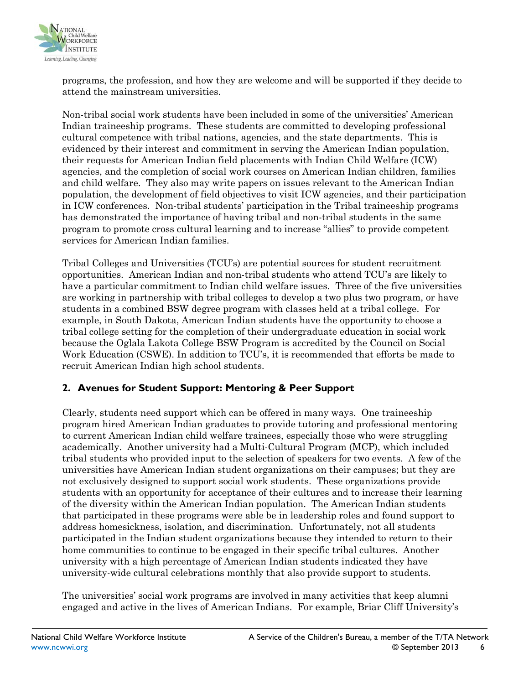

programs, the profession, and how they are welcome and will be supported if they decide to attend the mainstream universities.

Non-tribal social work students have been included in some of the universities' American Indian traineeship programs. These students are committed to developing professional cultural competence with tribal nations, agencies, and the state departments. This is evidenced by their interest and commitment in serving the American Indian population, their requests for American Indian field placements with Indian Child Welfare (ICW) agencies, and the completion of social work courses on American Indian children, families and child welfare. They also may write papers on issues relevant to the American Indian population, the development of field objectives to visit ICW agencies, and their participation in ICW conferences. Non-tribal students' participation in the Tribal traineeship programs has demonstrated the importance of having tribal and non-tribal students in the same program to promote cross cultural learning and to increase "allies" to provide competent services for American Indian families.

Tribal Colleges and Universities (TCU's) are potential sources for student recruitment opportunities. American Indian and non-tribal students who attend TCU's are likely to have a particular commitment to Indian child welfare issues. Three of the five universities are working in partnership with tribal colleges to develop a two plus two program, or have students in a combined BSW degree program with classes held at a tribal college. For example, in South Dakota, American Indian students have the opportunity to choose a tribal college setting for the completion of their undergraduate education in social work because the Oglala Lakota College BSW Program is accredited by the Council on Social Work Education (CSWE). In addition to TCU's, it is recommended that efforts be made to recruit American Indian high school students.

### **2. Avenues for Student Support: Mentoring & Peer Support**

Clearly, students need support which can be offered in many ways. One traineeship program hired American Indian graduates to provide tutoring and professional mentoring to current American Indian child welfare trainees, especially those who were struggling academically. Another university had a Multi-Cultural Program (MCP), which included tribal students who provided input to the selection of speakers for two events. A few of the universities have American Indian student organizations on their campuses; but they are not exclusively designed to support social work students. These organizations provide students with an opportunity for acceptance of their cultures and to increase their learning of the diversity within the American Indian population. The American Indian students that participated in these programs were able be in leadership roles and found support to address homesickness, isolation, and discrimination. Unfortunately, not all students participated in the Indian student organizations because they intended to return to their home communities to continue to be engaged in their specific tribal cultures. Another university with a high percentage of American Indian students indicated they have university-wide cultural celebrations monthly that also provide support to students.

The universities' social work programs are involved in many activities that keep alumni engaged and active in the lives of American Indians. For example, Briar Cliff University's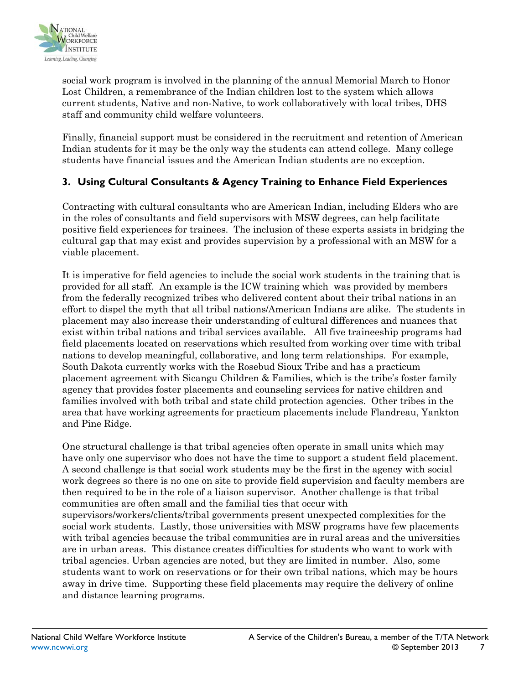

social work program is involved in the planning of the annual Memorial March to Honor Lost Children, a remembrance of the Indian children lost to the system which allows current students, Native and non-Native, to work collaboratively with local tribes, DHS staff and community child welfare volunteers.

Finally, financial support must be considered in the recruitment and retention of American Indian students for it may be the only way the students can attend college. Many college students have financial issues and the American Indian students are no exception.

### **3. Using Cultural Consultants & Agency Training to Enhance Field Experiences**

Contracting with cultural consultants who are American Indian, including Elders who are in the roles of consultants and field supervisors with MSW degrees, can help facilitate positive field experiences for trainees. The inclusion of these experts assists in bridging the cultural gap that may exist and provides supervision by a professional with an MSW for a viable placement.

It is imperative for field agencies to include the social work students in the training that is provided for all staff. An example is the ICW training which was provided by members from the federally recognized tribes who delivered content about their tribal nations in an effort to dispel the myth that all tribal nations/American Indians are alike. The students in placement may also increase their understanding of cultural differences and nuances that exist within tribal nations and tribal services available. All five traineeship programs had field placements located on reservations which resulted from working over time with tribal nations to develop meaningful, collaborative, and long term relationships. For example, South Dakota currently works with the Rosebud Sioux Tribe and has a practicum placement agreement with Sicangu Children & Families, which is the tribe's foster family agency that provides foster placements and counseling services for native children and families involved with both tribal and state child protection agencies. Other tribes in the area that have working agreements for practicum placements include Flandreau, Yankton and Pine Ridge.

One structural challenge is that tribal agencies often operate in small units which may have only one supervisor who does not have the time to support a student field placement. A second challenge is that social work students may be the first in the agency with social work degrees so there is no one on site to provide field supervision and faculty members are then required to be in the role of a liaison supervisor. Another challenge is that tribal communities are often small and the familial ties that occur with supervisors/workers/clients/tribal governments present unexpected complexities for the social work students. Lastly, those universities with MSW programs have few placements with tribal agencies because the tribal communities are in rural areas and the universities are in urban areas. This distance creates difficulties for students who want to work with tribal agencies. Urban agencies are noted, but they are limited in number. Also, some students want to work on reservations or for their own tribal nations, which may be hours away in drive time. Supporting these field placements may require the delivery of online and distance learning programs.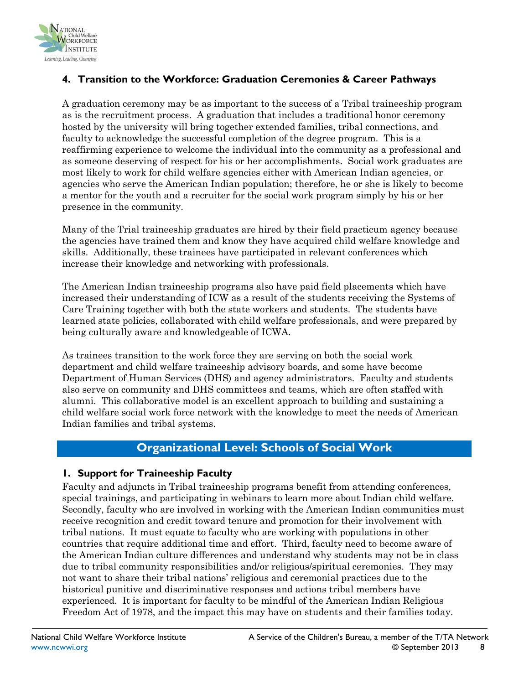

### **4. Transition to the Workforce: Graduation Ceremonies & Career Pathways**

A graduation ceremony may be as important to the success of a Tribal traineeship program as is the recruitment process. A graduation that includes a traditional honor ceremony hosted by the university will bring together extended families, tribal connections, and faculty to acknowledge the successful completion of the degree program. This is a reaffirming experience to welcome the individual into the community as a professional and as someone deserving of respect for his or her accomplishments. Social work graduates are most likely to work for child welfare agencies either with American Indian agencies, or agencies who serve the American Indian population; therefore, he or she is likely to become a mentor for the youth and a recruiter for the social work program simply by his or her presence in the community.

Many of the Trial traineeship graduates are hired by their field practicum agency because the agencies have trained them and know they have acquired child welfare knowledge and skills. Additionally, these trainees have participated in relevant conferences which increase their knowledge and networking with professionals.

The American Indian traineeship programs also have paid field placements which have increased their understanding of ICW as a result of the students receiving the Systems of Care Training together with both the state workers and students. The students have learned state policies, collaborated with child welfare professionals, and were prepared by being culturally aware and knowledgeable of ICWA.

As trainees transition to the work force they are serving on both the social work department and child welfare traineeship advisory boards, and some have become Department of Human Services (DHS) and agency administrators. Faculty and students also serve on community and DHS committees and teams, which are often staffed with alumni. This collaborative model is an excellent approach to building and sustaining a child welfare social work force network with the knowledge to meet the needs of American Indian families and tribal systems.

### **Organizational Level: Schools of Social Work**

#### **1. Support for Traineeship Faculty**

Faculty and adjuncts in Tribal traineeship programs benefit from attending conferences, special trainings, and participating in webinars to learn more about Indian child welfare. Secondly, faculty who are involved in working with the American Indian communities must receive recognition and credit toward tenure and promotion for their involvement with tribal nations. It must equate to faculty who are working with populations in other countries that require additional time and effort. Third, faculty need to become aware of the American Indian culture differences and understand why students may not be in class due to tribal community responsibilities and/or religious/spiritual ceremonies. They may not want to share their tribal nations' religious and ceremonial practices due to the historical punitive and discriminative responses and actions tribal members have experienced. It is important for faculty to be mindful of the American Indian Religious Freedom Act of 1978, and the impact this may have on students and their families today.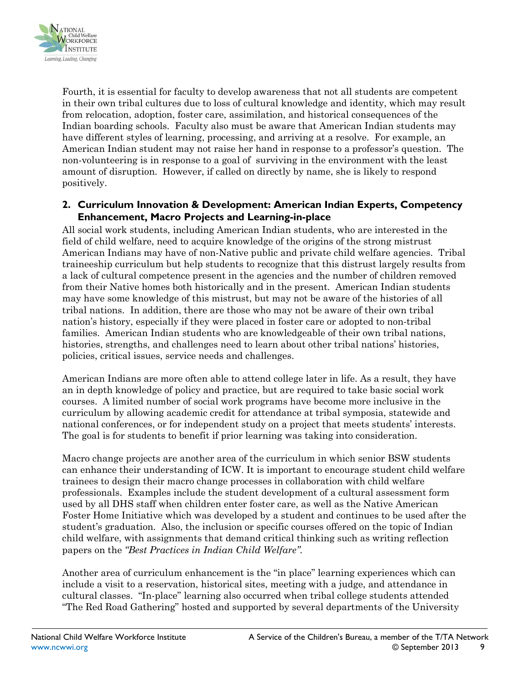

Fourth, it is essential for faculty to develop awareness that not all students are competent in their own tribal cultures due to loss of cultural knowledge and identity, which may result from relocation, adoption, foster care, assimilation, and historical consequences of the Indian boarding schools. Faculty also must be aware that American Indian students may have different styles of learning, processing, and arriving at a resolve. For example, an American Indian student may not raise her hand in response to a professor's question. The non-volunteering is in response to a goal of surviving in the environment with the least amount of disruption. However, if called on directly by name, she is likely to respond positively.

#### **2. Curriculum Innovation & Development: American Indian Experts, Competency Enhancement, Macro Projects and Learning-in-place**

All social work students, including American Indian students, who are interested in the field of child welfare, need to acquire knowledge of the origins of the strong mistrust American Indians may have of non-Native public and private child welfare agencies. Tribal traineeship curriculum but help students to recognize that this distrust largely results from a lack of cultural competence present in the agencies and the number of children removed from their Native homes both historically and in the present. American Indian students may have some knowledge of this mistrust, but may not be aware of the histories of all tribal nations. In addition, there are those who may not be aware of their own tribal nation's history, especially if they were placed in foster care or adopted to non-tribal families. American Indian students who are knowledgeable of their own tribal nations, histories, strengths, and challenges need to learn about other tribal nations' histories, policies, critical issues, service needs and challenges.

American Indians are more often able to attend college later in life. As a result, they have an in depth knowledge of policy and practice, but are required to take basic social work courses. A limited number of social work programs have become more inclusive in the curriculum by allowing academic credit for attendance at tribal symposia, statewide and national conferences, or for independent study on a project that meets students' interests. The goal is for students to benefit if prior learning was taking into consideration.

Macro change projects are another area of the curriculum in which senior BSW students can enhance their understanding of ICW. It is important to encourage student child welfare trainees to design their macro change processes in collaboration with child welfare professionals. Examples include the student development of a cultural assessment form used by all DHS staff when children enter foster care, as well as the Native American Foster Home Initiative which was developed by a student and continues to be used after the student's graduation. Also, the inclusion or specific courses offered on the topic of Indian child welfare, with assignments that demand critical thinking such as writing reflection papers on the *"Best Practices in Indian Child Welfare".*

Another area of curriculum enhancement is the "in place" learning experiences which can include a visit to a reservation, historical sites, meeting with a judge, and attendance in cultural classes. "In-place" learning also occurred when tribal college students attended "The Red Road Gathering" hosted and supported by several departments of the University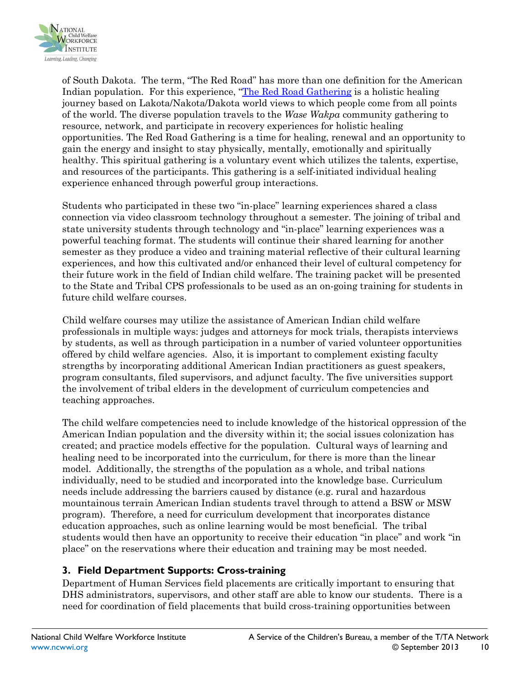

of South Dakota. The term, "The Red Road" has more than one definition for the American Indian population. For this experience, ["The Red Road Gathering](https://sites.google.com/a/usd.edu/redroad/about-us) is a holistic healing journey based on Lakota/Nakota/Dakota world views to which people come from all points of the world. The diverse population travels to the *Wase Wakpa* community gathering to resource, network, and participate in recovery experiences for holistic healing opportunities. The Red Road Gathering is a time for healing, renewal and an opportunity to gain the energy and insight to stay physically, mentally, emotionally and spiritually healthy. This spiritual gathering is a voluntary event which utilizes the talents, expertise, and resources of the participants. This gathering is a self-initiated individual healing experience enhanced through powerful group interactions.

Students who participated in these two "in-place" learning experiences shared a class connection via video classroom technology throughout a semester. The joining of tribal and state university students through technology and "in-place" learning experiences was a powerful teaching format. The students will continue their shared learning for another semester as they produce a video and training material reflective of their cultural learning experiences, and how this cultivated and/or enhanced their level of cultural competency for their future work in the field of Indian child welfare. The training packet will be presented to the State and Tribal CPS professionals to be used as an on-going training for students in future child welfare courses.

Child welfare courses may utilize the assistance of American Indian child welfare professionals in multiple ways: judges and attorneys for mock trials, therapists interviews by students, as well as through participation in a number of varied volunteer opportunities offered by child welfare agencies. Also, it is important to complement existing faculty strengths by incorporating additional American Indian practitioners as guest speakers, program consultants, filed supervisors, and adjunct faculty. The five universities support the involvement of tribal elders in the development of curriculum competencies and teaching approaches.

The child welfare competencies need to include knowledge of the historical oppression of the American Indian population and the diversity within it; the social issues colonization has created; and practice models effective for the population. Cultural ways of learning and healing need to be incorporated into the curriculum, for there is more than the linear model. Additionally, the strengths of the population as a whole, and tribal nations individually, need to be studied and incorporated into the knowledge base. Curriculum needs include addressing the barriers caused by distance (e.g. rural and hazardous mountainous terrain American Indian students travel through to attend a BSW or MSW program). Therefore, a need for curriculum development that incorporates distance education approaches, such as online learning would be most beneficial. The tribal students would then have an opportunity to receive their education "in place" and work "in place" on the reservations where their education and training may be most needed.

### **3. Field Department Supports: Cross-training**

Department of Human Services field placements are critically important to ensuring that DHS administrators, supervisors, and other staff are able to know our students. There is a need for coordination of field placements that build cross-training opportunities between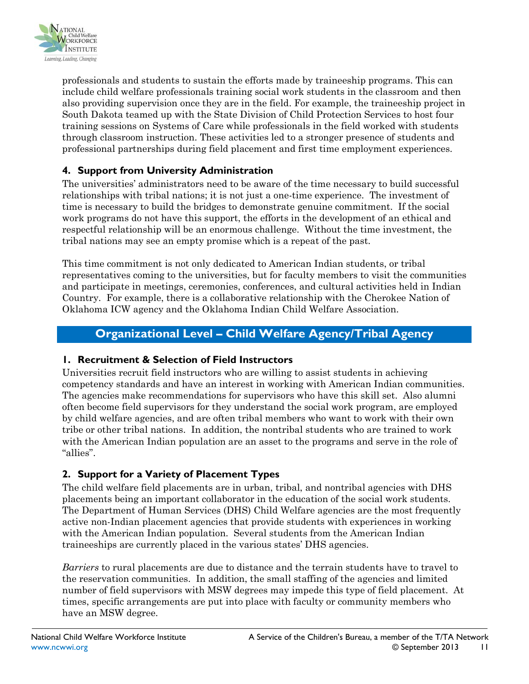

professionals and students to sustain the efforts made by traineeship programs. This can include child welfare professionals training social work students in the classroom and then also providing supervision once they are in the field. For example, the traineeship project in South Dakota teamed up with the State Division of Child Protection Services to host four training sessions on Systems of Care while professionals in the field worked with students through classroom instruction. These activities led to a stronger presence of students and professional partnerships during field placement and first time employment experiences.

### **4. Support from University Administration**

The universities' administrators need to be aware of the time necessary to build successful relationships with tribal nations; it is not just a one-time experience. The investment of time is necessary to build the bridges to demonstrate genuine commitment. If the social work programs do not have this support, the efforts in the development of an ethical and respectful relationship will be an enormous challenge. Without the time investment, the tribal nations may see an empty promise which is a repeat of the past.

This time commitment is not only dedicated to American Indian students, or tribal representatives coming to the universities, but for faculty members to visit the communities and participate in meetings, ceremonies, conferences, and cultural activities held in Indian Country. For example, there is a collaborative relationship with the Cherokee Nation of Oklahoma ICW agency and the Oklahoma Indian Child Welfare Association.

## **Organizational Level – Child Welfare Agency/Tribal Agency**

### **1. Recruitment & Selection of Field Instructors**

Universities recruit field instructors who are willing to assist students in achieving competency standards and have an interest in working with American Indian communities. The agencies make recommendations for supervisors who have this skill set. Also alumni often become field supervisors for they understand the social work program, are employed by child welfare agencies, and are often tribal members who want to work with their own tribe or other tribal nations. In addition, the nontribal students who are trained to work with the American Indian population are an asset to the programs and serve in the role of "allies".

### **2. Support for a Variety of Placement Types**

The child welfare field placements are in urban, tribal, and nontribal agencies with DHS placements being an important collaborator in the education of the social work students. The Department of Human Services (DHS) Child Welfare agencies are the most frequently active non-Indian placement agencies that provide students with experiences in working with the American Indian population. Several students from the American Indian traineeships are currently placed in the various states' DHS agencies.

*Barriers* to rural placements are due to distance and the terrain students have to travel to the reservation communities. In addition, the small staffing of the agencies and limited number of field supervisors with MSW degrees may impede this type of field placement. At times, specific arrangements are put into place with faculty or community members who have an MSW degree.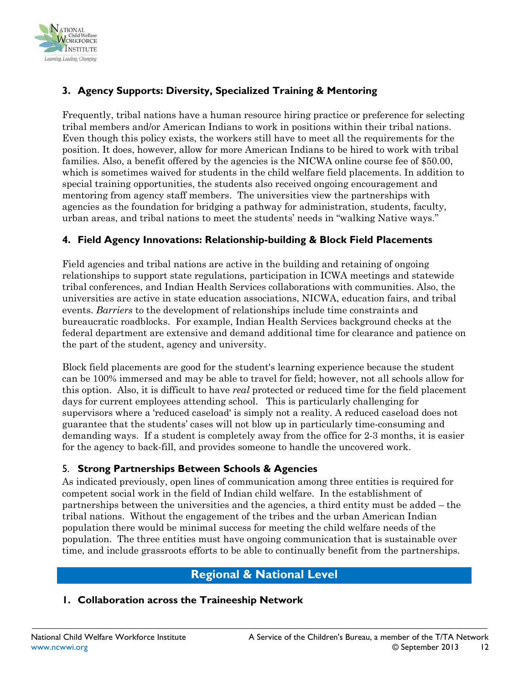

## **3. Agency Supports: Diversity, Specialized Training & Mentoring**

Frequently, tribal nations have a human resource hiring practice or preference for selecting tribal members and/or American Indians to work in positions within their tribal nations. Even though this policy exists, the workers still have to meet all the requirements for the position. It does, however, allow for more American Indians to be hired to work with tribal families. Also, a benefit offered by the agencies is the NICWA online course fee of \$50.00, which is sometimes waived for students in the child welfare field placements. In addition to special training opportunities, the students also received ongoing encouragement and mentoring from agency staff members. The universities view the partnerships with agencies as the foundation for bridging a pathway for administration, students, faculty, urban areas, and tribal nations to meet the students' needs in "walking Native ways."

### **4. Field Agency Innovations: Relationship-building & Block Field Placements**

Field agencies and tribal nations are active in the building and retaining of ongoing relationships to support state regulations, participation in ICWA meetings and statewide tribal conferences, and Indian Health Services collaborations with communities. Also, the universities are active in state education associations, NICWA, education fairs, and tribal events. *Barriers* to the development of relationships include time constraints and bureaucratic roadblocks. For example, Indian Health Services background checks at the federal department are extensive and demand additional time for clearance and patience on the part of the student, agency and university.

Block field placements are good for the student's learning experience because the student can be 100% immersed and may be able to travel for field; however, not all schools allow for this option. Also, it is difficult to have *real* protected or reduced time for the field placement days for current employees attending school. This is particularly challenging for supervisors where a 'reduced caseload' is simply not a reality. A reduced caseload does not guarantee that the students' cases will not blow up in particularly time-consuming and demanding ways. If a student is completely away from the office for 2-3 months, it is easier for the agency to back-fill, and provides someone to handle the uncovered work.

#### 5. **Strong Partnerships Between Schools & Agencies**

As indicated previously, open lines of communication among three entities is required for competent social work in the field of Indian child welfare. In the establishment of partnerships between the universities and the agencies, a third entity must be added – the tribal nations. Without the engagement of the tribes and the urban American Indian population there would be minimal success for meeting the child welfare needs of the population. The three entities must have ongoing communication that is sustainable over time, and include grassroots efforts to be able to continually benefit from the partnerships.

### **Regional & National Level**

#### **1. Collaboration across the Traineeship Network**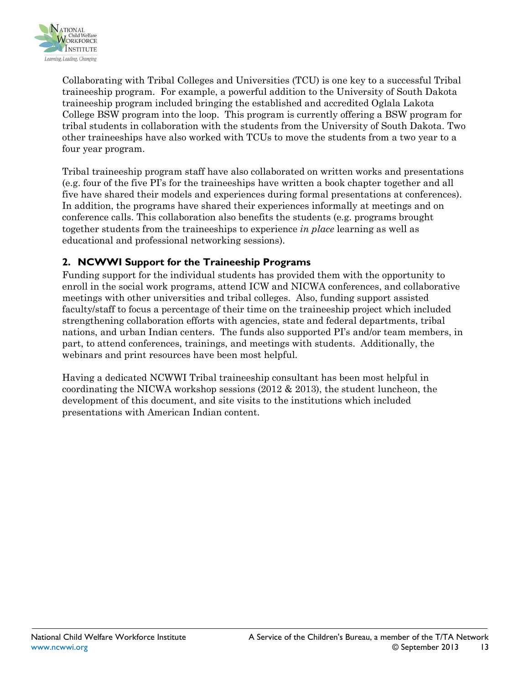

Collaborating with Tribal Colleges and Universities (TCU) is one key to a successful Tribal traineeship program. For example, a powerful addition to the University of South Dakota traineeship program included bringing the established and accredited Oglala Lakota College BSW program into the loop. This program is currently offering a BSW program for tribal students in collaboration with the students from the University of South Dakota. Two other traineeships have also worked with TCUs to move the students from a two year to a four year program.

Tribal traineeship program staff have also collaborated on written works and presentations (e.g. four of the five PI's for the traineeships have written a book chapter together and all five have shared their models and experiences during formal presentations at conferences). In addition, the programs have shared their experiences informally at meetings and on conference calls. This collaboration also benefits the students (e.g. programs brought together students from the traineeships to experience *in place* learning as well as educational and professional networking sessions).

### **2. NCWWI Support for the Traineeship Programs**

Funding support for the individual students has provided them with the opportunity to enroll in the social work programs, attend ICW and NICWA conferences, and collaborative meetings with other universities and tribal colleges. Also, funding support assisted faculty/staff to focus a percentage of their time on the traineeship project which included strengthening collaboration efforts with agencies, state and federal departments, tribal nations, and urban Indian centers. The funds also supported PI's and/or team members, in part, to attend conferences, trainings, and meetings with students. Additionally, the webinars and print resources have been most helpful.

Having a dedicated NCWWI Tribal traineeship consultant has been most helpful in coordinating the NICWA workshop sessions (2012 & 2013), the student luncheon, the development of this document, and site visits to the institutions which included presentations with American Indian content.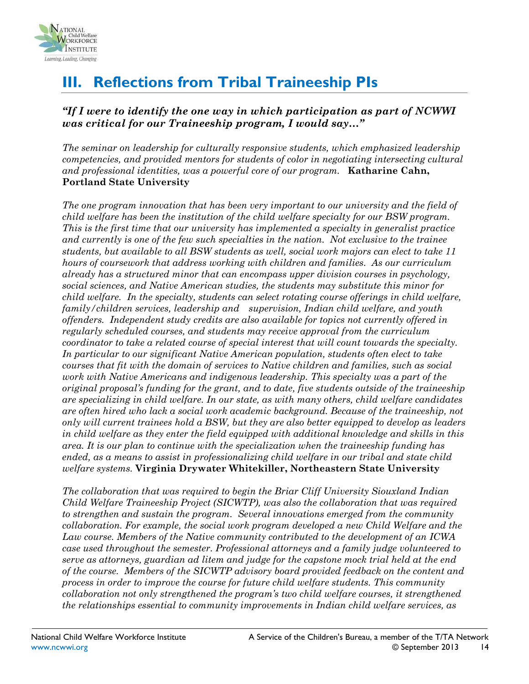

# **III. Reflections from Tribal Traineeship PIs**

### *"If I were to identify the one way in which participation as part of NCWWI was critical for our Traineeship program, I would say…"*

*The seminar on leadership for culturally responsive students, which emphasized leadership competencies, and provided mentors for students of color in negotiating intersecting cultural and professional identities, was a powerful core of our program.* **Katharine Cahn, Portland State University** 

*The one program innovation that has been very important to our university and the field of child welfare has been the institution of the child welfare specialty for our BSW program. This is the first time that our university has implemented a specialty in generalist practice and currently is one of the few such specialties in the nation. Not exclusive to the trainee students, but available to all BSW students as well, social work majors can elect to take 11 hours of coursework that address working with children and families. As our curriculum already has a structured minor that can encompass upper division courses in psychology, social sciences, and Native American studies, the students may substitute this minor for child welfare. In the specialty, students can select rotating course offerings in child welfare, family/children services, leadership and supervision, Indian child welfare, and youth offenders. Independent study credits are also available for topics not currently offered in regularly scheduled courses, and students may receive approval from the curriculum coordinator to take a related course of special interest that will count towards the specialty. In particular to our significant Native American population, students often elect to take courses that fit with the domain of services to Native children and families, such as social work with Native Americans and indigenous leadership. This specialty was a part of the original proposal's funding for the grant, and to date, five students outside of the traineeship are specializing in child welfare. In our state, as with many others, child welfare candidates are often hired who lack a social work academic background. Because of the traineeship, not only will current trainees hold a BSW, but they are also better equipped to develop as leaders in child welfare as they enter the field equipped with additional knowledge and skills in this area. It is our plan to continue with the specialization when the traineeship funding has ended, as a means to assist in professionalizing child welfare in our tribal and state child welfare systems.* **Virginia Drywater Whitekiller, Northeastern State University**

*The collaboration that was required to begin the Briar Cliff University Siouxland Indian Child Welfare Traineeship Project (SICWTP), was also the collaboration that was required to strengthen and sustain the program. Several innovations emerged from the community collaboration. For example, the social work program developed a new Child Welfare and the Law course. Members of the Native community contributed to the development of an ICWA case used throughout the semester. Professional attorneys and a family judge volunteered to serve as attorneys, guardian ad litem and judge for the capstone mock trial held at the end of the course. Members of the SICWTP advisory board provided feedback on the content and process in order to improve the course for future child welfare students. This community collaboration not only strengthened the program's two child welfare courses, it strengthened the relationships essential to community improvements in Indian child welfare services, as*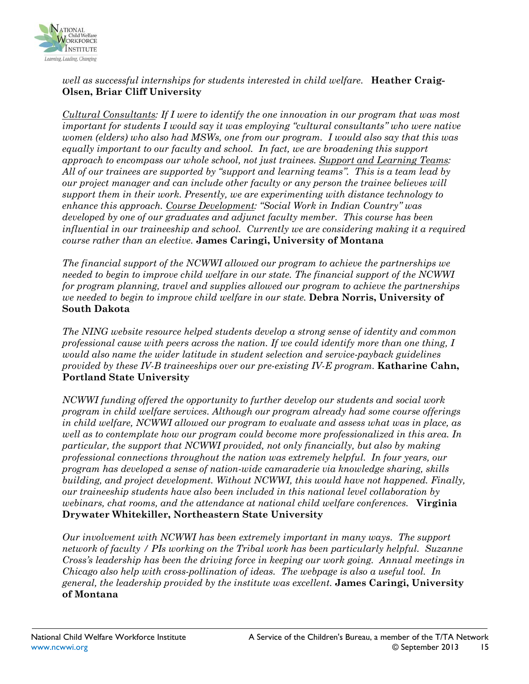

#### *well as successful internships for students interested in child welfare.* **Heather Craig-Olsen, Briar Cliff University**

*Cultural Consultants: If I were to identify the one innovation in our program that was most important for students I would say it was employing "cultural consultants" who were native women (elders) who also had MSWs, one from our program. I would also say that this was equally important to our faculty and school. In fact, we are broadening this support approach to encompass our whole school, not just trainees. Support and Learning Teams: All of our trainees are supported by "support and learning teams". This is a team lead by our project manager and can include other faculty or any person the trainee believes will support them in their work. Presently, we are experimenting with distance technology to enhance this approach. Course Development: "Social Work in Indian Country" was developed by one of our graduates and adjunct faculty member. This course has been influential in our traineeship and school. Currently we are considering making it a required course rather than an elective.* **James Caringi, University of Montana**

*The financial support of the NCWWI allowed our program to achieve the partnerships we needed to begin to improve child welfare in our state. The financial support of the NCWWI for program planning, travel and supplies allowed our program to achieve the partnerships we needed to begin to improve child welfare in our state.* **Debra Norris, University of South Dakota**

*The NING website resource helped students develop a strong sense of identity and common professional cause with peers across the nation. If we could identify more than one thing, I would also name the wider latitude in student selection and service-payback guidelines provided by these IV-B traineeships over our pre-existing IV-E program.* **Katharine Cahn, Portland State University**

*NCWWI funding offered the opportunity to further develop our students and social work program in child welfare services. Although our program already had some course offerings in child welfare, NCWWI allowed our program to evaluate and assess what was in place, as well as to contemplate how our program could become more professionalized in this area. In particular, the support that NCWWI provided, not only financially, but also by making professional connections throughout the nation was extremely helpful. In four years, our program has developed a sense of nation-wide camaraderie via knowledge sharing, skills building, and project development. Without NCWWI, this would have not happened. Finally, our traineeship students have also been included in this national level collaboration by webinars, chat rooms, and the attendance at national child welfare conferences.* **Virginia Drywater Whitekiller, Northeastern State University**

*Our involvement with NCWWI has been extremely important in many ways. The support network of faculty / PIs working on the Tribal work has been particularly helpful. Suzanne Cross's leadership has been the driving force in keeping our work going. Annual meetings in Chicago also help with cross-pollination of ideas. The webpage is also a useful tool. In general, the leadership provided by the institute was excellent.* **James Caringi, University of Montana**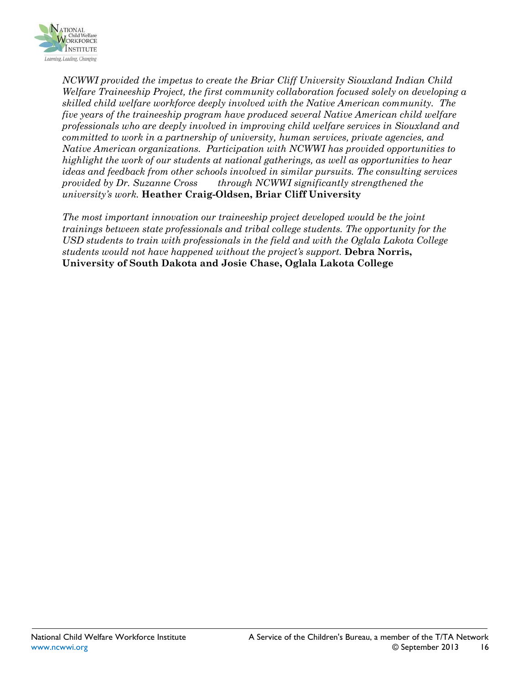

*NCWWI provided the impetus to create the Briar Cliff University Siouxland Indian Child Welfare Traineeship Project, the first community collaboration focused solely on developing a skilled child welfare workforce deeply involved with the Native American community. The five years of the traineeship program have produced several Native American child welfare professionals who are deeply involved in improving child welfare services in Siouxland and committed to work in a partnership of university, human services, private agencies, and Native American organizations. Participation with NCWWI has provided opportunities to highlight the work of our students at national gatherings, as well as opportunities to hear ideas and feedback from other schools involved in similar pursuits. The consulting services provided by Dr. Suzanne Cross through NCWWI significantly strengthened the university's work.* **Heather Craig-Oldsen, Briar Cliff University**

*The most important innovation our traineeship project developed would be the joint trainings between state professionals and tribal college students. The opportunity for the USD students to train with professionals in the field and with the Oglala Lakota College students would not have happened without the project's support.* **Debra Norris, University of South Dakota and Josie Chase, Oglala Lakota College**